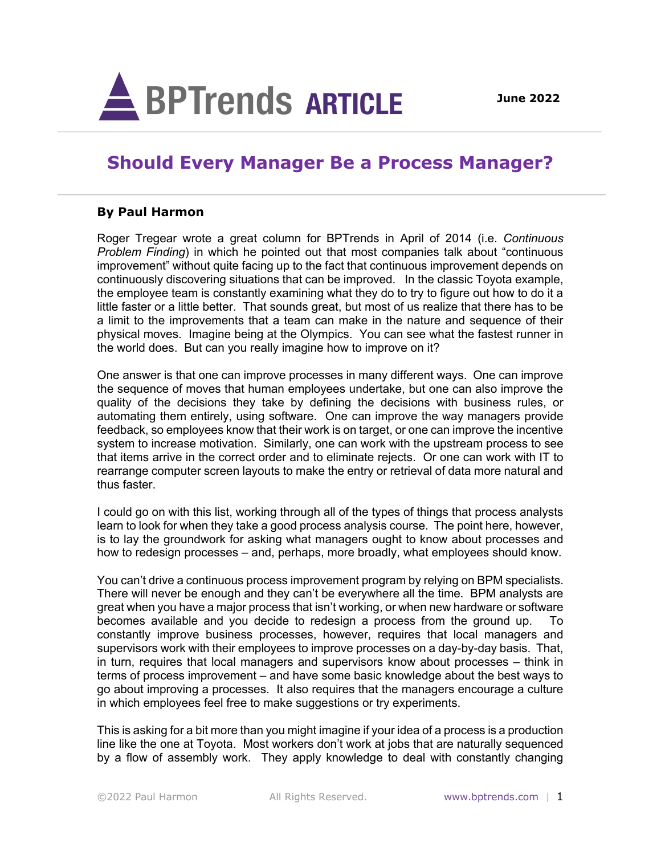

## **Should Every Manager Be a Process Manager?**

## **By Paul Harmon**

Roger Tregear wrote a great column for BPTrends in April of 2014 (i.e. *Continuous Problem Finding*) in which he pointed out that most companies talk about "continuous improvement" without quite facing up to the fact that continuous improvement depends on continuously discovering situations that can be improved. In the classic Toyota example, the employee team is constantly examining what they do to try to figure out how to do it a little faster or a little better. That sounds great, but most of us realize that there has to be a limit to the improvements that a team can make in the nature and sequence of their physical moves. Imagine being at the Olympics. You can see what the fastest runner in the world does. But can you really imagine how to improve on it?

One answer is that one can improve processes in many different ways. One can improve the sequence of moves that human employees undertake, but one can also improve the quality of the decisions they take by defining the decisions with business rules, or automating them entirely, using software. One can improve the way managers provide feedback, so employees know that their work is on target, or one can improve the incentive system to increase motivation. Similarly, one can work with the upstream process to see that items arrive in the correct order and to eliminate rejects. Or one can work with IT to rearrange computer screen layouts to make the entry or retrieval of data more natural and thus faster.

I could go on with this list, working through all of the types of things that process analysts learn to look for when they take a good process analysis course. The point here, however, is to lay the groundwork for asking what managers ought to know about processes and how to redesign processes – and, perhaps, more broadly, what employees should know.

You can't drive a continuous process improvement program by relying on BPM specialists. There will never be enough and they can't be everywhere all the time. BPM analysts are great when you have a major process that isn't working, or when new hardware or software becomes available and you decide to redesign a process from the ground up. To constantly improve business processes, however, requires that local managers and supervisors work with their employees to improve processes on a day-by-day basis. That, in turn, requires that local managers and supervisors know about processes – think in terms of process improvement – and have some basic knowledge about the best ways to go about improving a processes. It also requires that the managers encourage a culture in which employees feel free to make suggestions or try experiments.

This is asking for a bit more than you might imagine if your idea of a process is a production line like the one at Toyota. Most workers don't work at jobs that are naturally sequenced by a flow of assembly work. They apply knowledge to deal with constantly changing